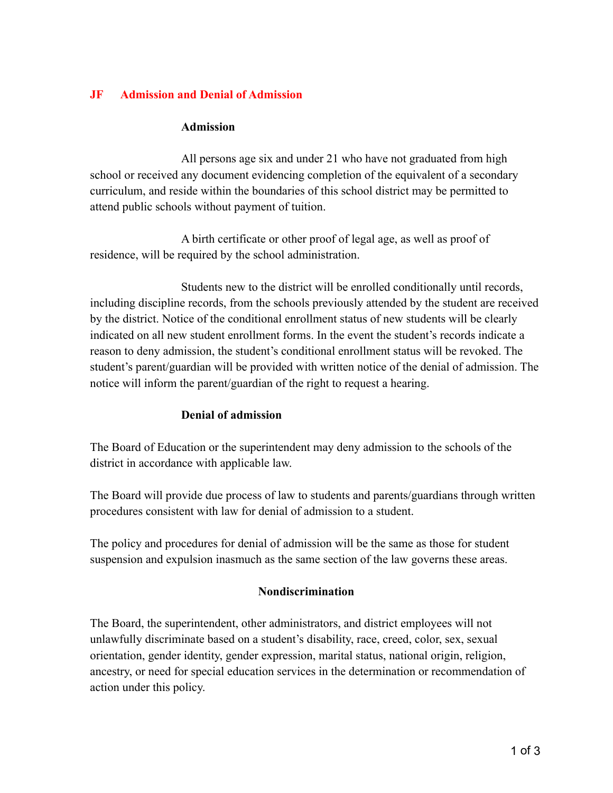# **JF Admission and Denial of Admission**

#### **Admission**

All persons age six and under 21 who have not graduated from high school or received any document evidencing completion of the equivalent of a secondary curriculum, and reside within the boundaries of this school district may be permitted to attend public schools without payment of tuition.

A birth certificate or other proof of legal age, as well as proof of residence, will be required by the school administration.

Students new to the district will be enrolled conditionally until records, including discipline records, from the schools previously attended by the student are received by the district. Notice of the conditional enrollment status of new students will be clearly indicated on all new student enrollment forms. In the event the student's records indicate a reason to deny admission, the student's conditional enrollment status will be revoked. The student's parent/guardian will be provided with written notice of the denial of admission. The notice will inform the parent/guardian of the right to request a hearing.

## **Denial of admission**

The Board of Education or the superintendent may deny admission to the schools of the district in accordance with applicable law.

The Board will provide due process of law to students and parents/guardians through written procedures consistent with law for denial of admission to a student.

The policy and procedures for denial of admission will be the same as those for student suspension and expulsion inasmuch as the same section of the law governs these areas.

## **Nondiscrimination**

The Board, the superintendent, other administrators, and district employees will not unlawfully discriminate based on a student's disability, race, creed, color, sex, sexual orientation, gender identity, gender expression, marital status, national origin, religion, ancestry, or need for special education services in the determination or recommendation of action under this policy.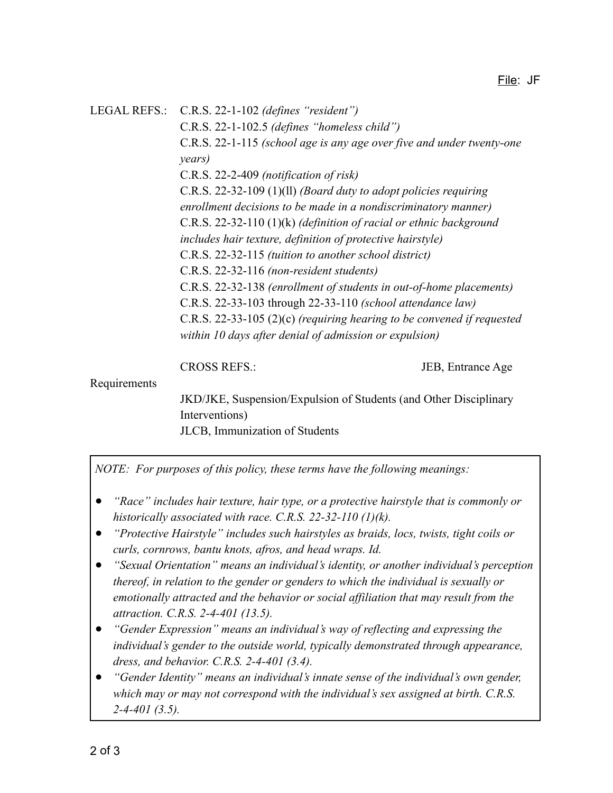LEGAL REFS.: C.R.S. 22-1-102 *(defines "resident")* C.R.S. 22-1-102.5 *(defines "homeless child")* C.R.S. 22-1-115 *(school age is any age over five and under twenty-one years)* C.R.S. 22-2-409 *(notification of risk)* C.R.S. 22-32-109 (1)(ll) *(Board duty to adopt policies requiring enrollment decisions to be made in a nondiscriminatory manner)* C.R.S. 22-32-110 (1)(k) *(definition of racial or ethnic background includes hair texture, definition of protective hairstyle)* C.R.S. 22-32-115 *(tuition to another school district)* C.R.S. 22-32-116 *(non-resident students)* C.R.S. 22-32-138 *(enrollment of students in out-of-home placements)* C.R.S. 22-33-103 through 22-33-110 *(school attendance law)* C.R.S. 22-33-105 (2)(c) *(requiring hearing to be convened if requested within 10 days after denial of admission or expulsion)*

CROSS REFS.: JEB, Entrance Age

#### Requirements

JKD/JKE, Suspension/Expulsion of Students (and Other Disciplinary Interventions) JLCB, Immunization of Students

*NOTE: For purposes of this policy, these terms have the following meanings:*

- *"Race" includes hair texture, hair type, or a protective hairstyle that is commonly or historically associated with race. C.R.S. 22-32-110 (1)(k).*
- *"Protective Hairstyle" includes such hairstyles as braids, locs, twists, tight coils or curls, cornrows, bantu knots, afros, and head wraps. Id.*
- *"Sexual Orientation" means an individual's identity, or another individual's perception thereof, in relation to the gender or genders to which the individual is sexually or emotionally attracted and the behavior or social affiliation that may result from the attraction. C.R.S. 2-4-401 (13.5).*
- *● "Gender Expression" means an individual's way of reflecting and expressing the individual's gender to the outside world, typically demonstrated through appearance, dress, and behavior. C.R.S. 2-4-401 (3.4).*
- *● "Gender Identity" means an individual's innate sense of the individual's own gender, which may or may not correspond with the individual's sex assigned at birth. C.R.S. 2-4-401 (3.5).*